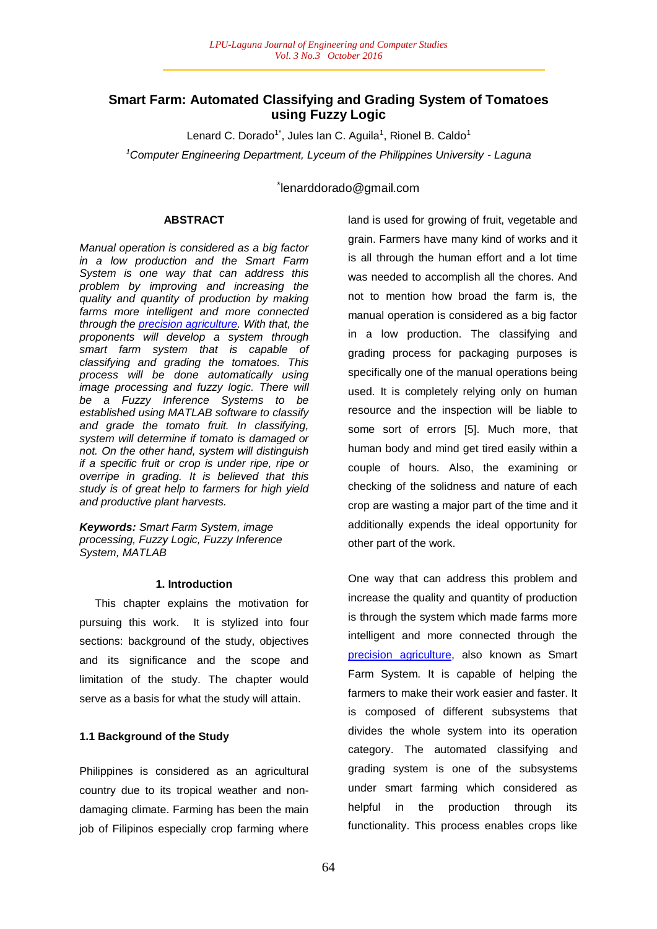## **Smart Farm: Automated Classifying and Grading System of Tomatoes using Fuzzy Logic**

Lenard C. Dorado<sup>1\*</sup>, Jules Ian C. Aguila<sup>1</sup>, Rionel B. Caldo<sup>1</sup> *<sup>1</sup>Computer Engineering Department, Lyceum of the Philippines University - Laguna*

\* lenarddorado@gmail.com

## **ABSTRACT**

*Manual operation is considered as a big factor in a low production and the Smart Farm System is one way that can address this problem by improving and increasing the quality and quantity of production by making farms more intelligent and more connected through the precision agriculture. With that, the proponents will develop a system through smart farm system that is capable of classifying and grading the tomatoes. This process will be done automatically using image processing and fuzzy logic. There will be a Fuzzy Inference Systems to be established using MATLAB software to classify and grade the tomato fruit. In classifying, system will determine if tomato is damaged or not. On the other hand, system will distinguish if a specific fruit or crop is under ripe, ripe or overripe in grading. It is believed that this study is of great help to farmers for high yield and productive plant harvests.*

*Keywords: Smart Farm System, image processing, Fuzzy Logic, Fuzzy Inference System, MATLAB*

## **1. Introduction**

 This chapter explains the motivation for pursuing this work. It is stylized into four sections: background of the study, objectives and its significance and the scope and limitation of the study. The chapter would serve as a basis for what the study will attain.

## **1.1 Background of the Study**

Philippines is considered as an agricultural country due to its tropical weather and nondamaging climate. Farming has been the main job of Filipinos especially crop farming where

land is used for growing of fruit, vegetable and grain. Farmers have many kind of works and it is all through the human effort and a lot time was needed to accomplish all the chores. And not to mention how broad the farm is, the manual operation is considered as a big factor in a low production. The classifying and grading process for packaging purposes is specifically one of the manual operations being used. It is completely relying only on human resource and the inspection will be liable to some sort of errors [5]. Much more, that human body and mind get tired easily within a couple of hours. Also, the examining or checking of the solidness and nature of each crop are wasting a major part of the time and it additionally expends the ideal opportunity for other part of the work.

One way that can address this problem and increase the quality and quantity of production is through the system which made farms more intelligent and more connected through the precision agriculture, also known as Smart Farm System. It is capable of helping the farmers to make their work easier and faster. It is composed of different subsystems that divides the whole system into its operation category. The automated classifying and grading system is one of the subsystems under smart farming which considered as helpful in the production through its functionality. This process enables crops like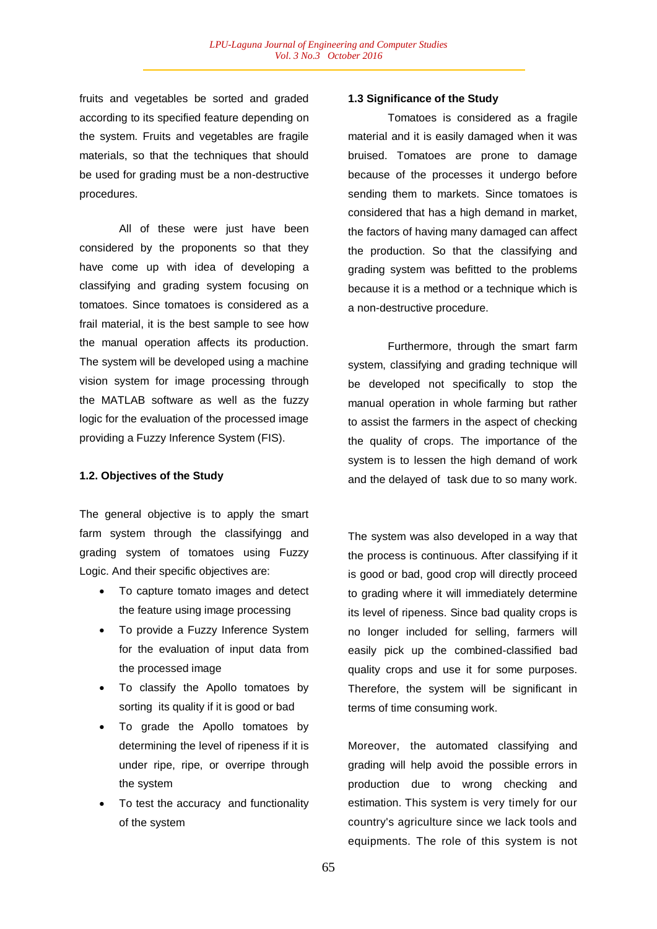fruits and vegetables be sorted and graded according to its specified feature depending on the system. Fruits and vegetables are fragile materials, so that the techniques that should be used for grading must be a non-destructive procedures.

All of these were just have been considered by the proponents so that they have come up with idea of developing a classifying and grading system focusing on tomatoes. Since tomatoes is considered as a frail material, it is the best sample to see how the manual operation affects its production. The system will be developed using a machine vision system for image processing through the MATLAB software as well as the fuzzy logic for the evaluation of the processed image providing a Fuzzy Inference System (FIS).

## **1.2. Objectives of the Study**

The general objective is to apply the smart farm system through the classifyingg and grading system of tomatoes using Fuzzy Logic. And their specific objectives are:

- To capture tomato images and detect the feature using image processing
- To provide a Fuzzy Inference System for the evaluation of input data from the processed image
- To classify the Apollo tomatoes by sorting its quality if it is good or bad
- To grade the Apollo tomatoes by determining the level of ripeness if it is under ripe, ripe, or overripe through the system
- To test the accuracy and functionality of the system

## **1.3 Significance of the Study**

Tomatoes is considered as a fragile material and it is easily damaged when it was bruised. Tomatoes are prone to damage because of the processes it undergo before sending them to markets. Since tomatoes is considered that has a high demand in market, the factors of having many damaged can affect the production. So that the classifying and grading system was befitted to the problems because it is a method or a technique which is a non-destructive procedure.

Furthermore, through the smart farm system, classifying and grading technique will be developed not specifically to stop the manual operation in whole farming but rather to assist the farmers in the aspect of checking the quality of crops. The importance of the system is to lessen the high demand of work and the delayed of task due to so many work.

The system was also developed in a way that the process is continuous. After classifying if it is good or bad, good crop will directly proceed to grading where it will immediately determine its level of ripeness. Since bad quality crops is no longer included for selling, farmers will easily pick up the combined-classified bad quality crops and use it for some purposes. Therefore, the system will be significant in terms of time consuming work.

Moreover, the automated classifying and grading will help avoid the possible errors in production due to wrong checking and estimation. This system is very timely for our country's agriculture since we lack tools and equipments. The role of this system is not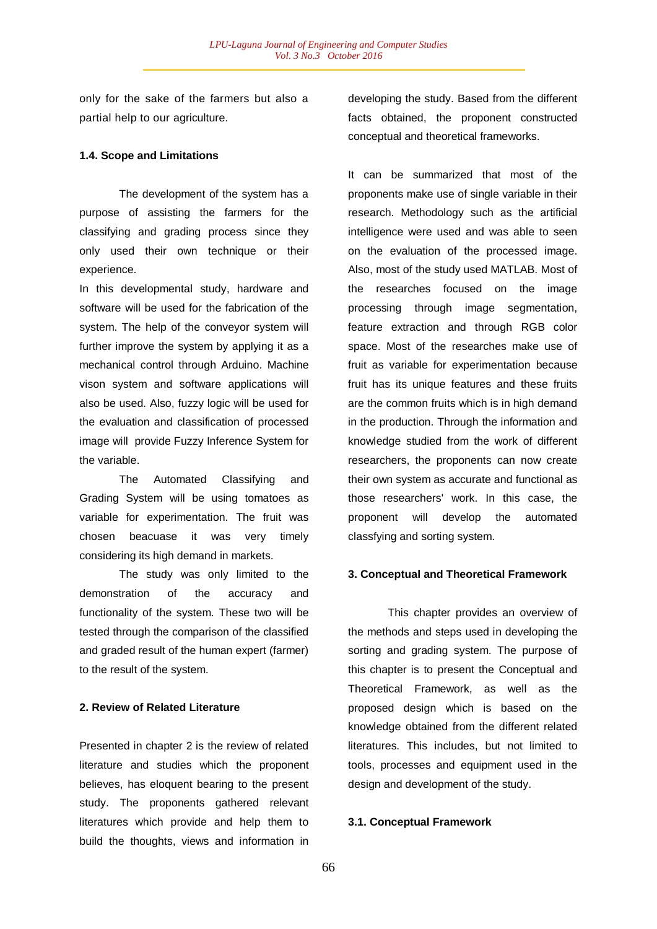only for the sake of the farmers but also a partial help to our agriculture.

#### **1.4. Scope and Limitations**

The development of the system has a purpose of assisting the farmers for the classifying and grading process since they only used their own technique or their experience.

In this developmental study, hardware and software will be used for the fabrication of the system. The help of the conveyor system will further improve the system by applying it as a mechanical control through Arduino. Machine vison system and software applications will also be used. Also, fuzzy logic will be used for the evaluation and classification of processed image will provide Fuzzy Inference System for the variable.

The Automated Classifying and Grading System will be using tomatoes as variable for experimentation. The fruit was chosen beacuase it was very timely considering its high demand in markets.

The study was only limited to the demonstration of the accuracy and functionality of the system. These two will be tested through the comparison of the classified and graded result of the human expert (farmer) to the result of the system.

## **2. Review of Related Literature**

Presented in chapter 2 is the review of related literature and studies which the proponent believes, has eloquent bearing to the present study. The proponents gathered relevant literatures which provide and help them to build the thoughts, views and information in

developing the study. Based from the different facts obtained, the proponent constructed conceptual and theoretical frameworks.

It can be summarized that most of the proponents make use of single variable in their research. Methodology such as the artificial intelligence were used and was able to seen on the evaluation of the processed image. Also, most of the study used MATLAB. Most of the researches focused on the image processing through image segmentation, feature extraction and through RGB color space. Most of the researches make use of fruit as variable for experimentation because fruit has its unique features and these fruits are the common fruits which is in high demand in the production. Through the information and knowledge studied from the work of different researchers, the proponents can now create their own system as accurate and functional as those researchers' work. In this case, the proponent will develop the automated classfying and sorting system.

#### **3. Conceptual and Theoretical Framework**

This chapter provides an overview of the methods and steps used in developing the sorting and grading system. The purpose of this chapter is to present the Conceptual and Theoretical Framework, as well as the proposed design which is based on the knowledge obtained from the different related literatures. This includes, but not limited to tools, processes and equipment used in the design and development of the study.

#### **3.1. Conceptual Framework**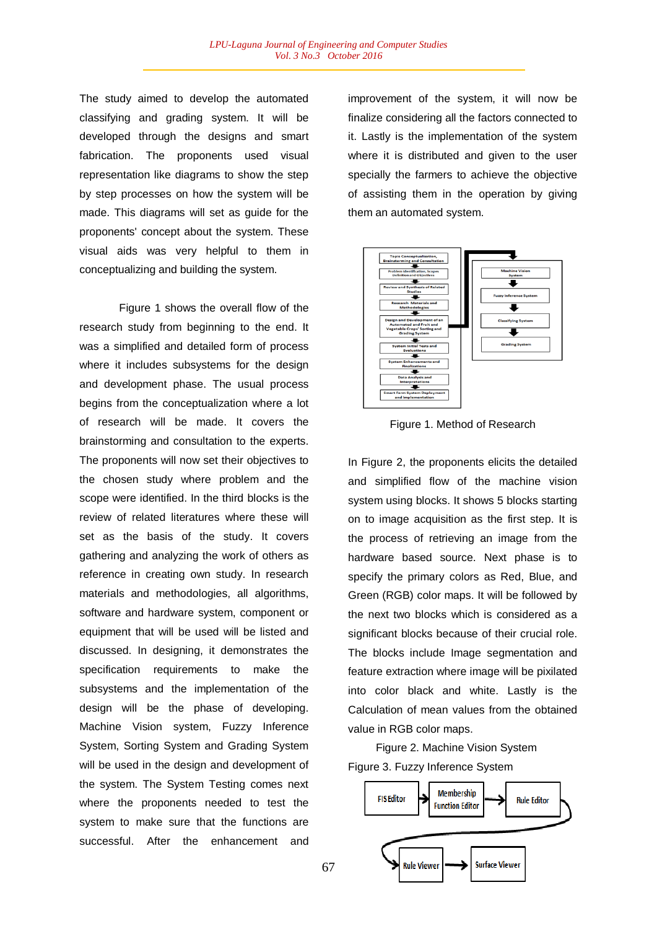The study aimed to develop the automated classifying and grading system. It will be developed through the designs and smart fabrication. The proponents used visual representation like diagrams to show the step by step processes on how the system will be made. This diagrams will set as guide for the proponents' concept about the system. These visual aids was very helpful to them in conceptualizing and building the system.

Figure 1 shows the overall flow of the research study from beginning to the end. It was a simplified and detailed form of process where it includes subsystems for the design and development phase. The usual process begins from the conceptualization where a lot of research will be made. It covers the brainstorming and consultation to the experts. The proponents will now set their objectives to the chosen study where problem and the scope were identified. In the third blocks is the review of related literatures where these will set as the basis of the study. It covers gathering and analyzing the work of others as reference in creating own study. In research materials and methodologies, all algorithms, software and hardware system, component or equipment that will be used will be listed and discussed. In designing, it demonstrates the specification requirements to make the subsystems and the implementation of the design will be the phase of developing. Machine Vision system, Fuzzy Inference System, Sorting System and Grading System will be used in the design and development of the system. The System Testing comes next where the proponents needed to test the system to make sure that the functions are successful. After the enhancement and

improvement of the system, it will now be finalize considering all the factors connected to it. Lastly is the implementation of the system where it is distributed and given to the user specially the farmers to achieve the objective of assisting them in the operation by giving them an automated system.



Figure 1. Method of Research

In Figure 2, the proponents elicits the detailed and simplified flow of the machine vision system using blocks. It shows 5 blocks starting on to image acquisition as the first step. It is the process of retrieving an image from the hardware based source. Next phase is to specify the primary colors as Red, Blue, and Green (RGB) color maps. It will be followed by the next two blocks which is considered as a significant blocks because of their crucial role. The blocks include Image segmentation and feature extraction where image will be pixilated into color black and white. Lastly is the Calculation of mean values from the obtained value in RGB color maps.

 Figure 2. Machine Vision System Figure 3. Fuzzy Inference System

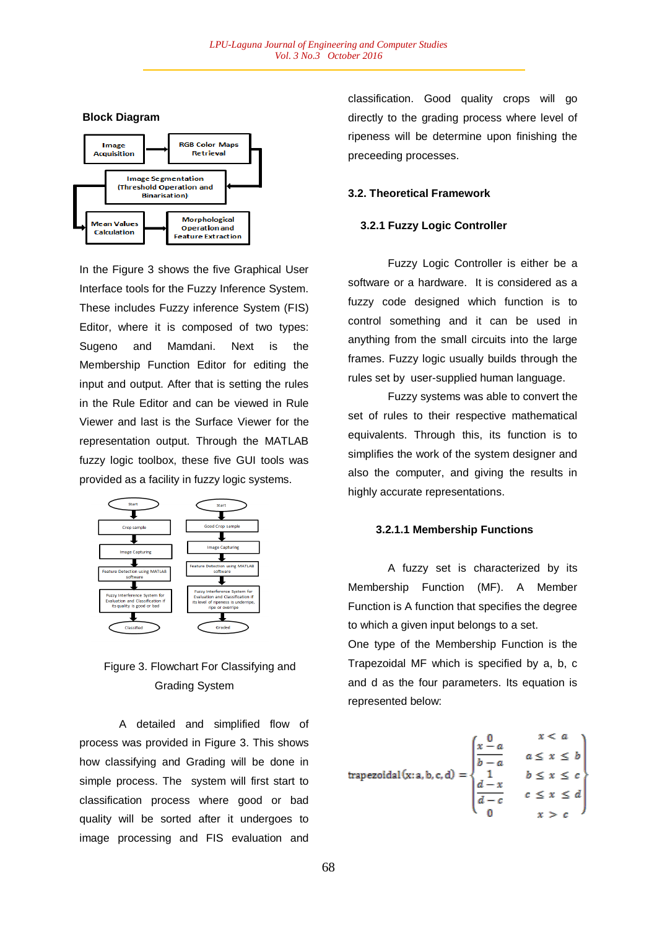## **Block Diagram**



In the Figure 3 shows the five Graphical User Interface tools for the Fuzzy Inference System. These includes Fuzzy inference System (FIS) Editor, where it is composed of two types: Sugeno and Mamdani. Next is the Membership Function Editor for editing the input and output. After that is setting the rules in the Rule Editor and can be viewed in Rule Viewer and last is the Surface Viewer for the representation output. Through the MATLAB fuzzy logic toolbox, these five GUI tools was provided as a facility in fuzzy logic systems.



# Figure 3. Flowchart For Classifying and Grading System

A detailed and simplified flow of process was provided in Figure 3. This shows how classifying and Grading will be done in simple process. The system will first start to classification process where good or bad quality will be sorted after it undergoes to image processing and FIS evaluation and

classification. Good quality crops will go directly to the grading process where level of ripeness will be determine upon finishing the preceeding processes.

## **3.2. Theoretical Framework**

## **3.2.1 Fuzzy Logic Controller**

Fuzzy Logic Controller is either be a software or a hardware. It is considered as a fuzzy code designed which function is to control something and it can be used in anything from the small circuits into the large frames. Fuzzy logic usually builds through the rules set by user-supplied human language.

Fuzzy systems was able to convert the set of rules to their respective mathematical equivalents. Through this, its function is to simplifies the work of the system designer and also the computer, and giving the results in highly accurate representations.

## **3.2.1.1 Membership Functions**

A fuzzy set is characterized by its Membership Function (MF). A Member Function is A function that specifies the degree to which a given input belongs to a set.

One type of the Membership Function is the Trapezoidal MF which is specified by a, b, c and d as the four parameters. Its equation is represented below:

trapezoidal(x:a,b,c,d) = 
$$
\begin{cases} \frac{x-a}{b-a} & a \leq x \leq b \\ \frac{1}{a-x} & b \leq x \leq c \\ \frac{d-x}{b-c} & c \leq x \leq d \end{cases}
$$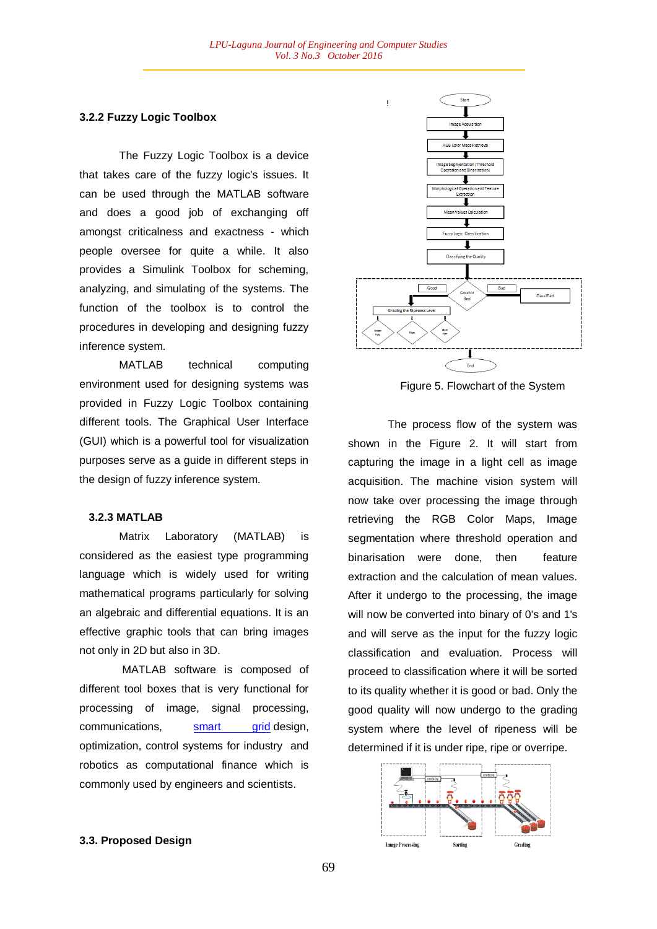## **3.2.2 Fuzzy Logic Toolbox**

The Fuzzy Logic Toolbox is a device that takes care of the fuzzy logic's issues. It can be used through the MATLAB software and does a good job of exchanging off amongst criticalness and exactness - which people oversee for quite a while. It also provides a Simulink Toolbox for scheming, analyzing, and simulating of the systems. The function of the toolbox is to control the procedures in developing and designing fuzzy inference system.

MATLAB technical computing environment used for designing systems was provided in Fuzzy Logic Toolbox containing different tools. The Graphical User Interface (GUI) which is a powerful tool for visualization purposes serve as a guide in different steps in the design of fuzzy inference system.

#### **3.2.3 MATLAB**

Matrix Laboratory (MATLAB) is considered as the easiest type programming language which is widely used for writing mathematical programs particularly for solving an algebraic and differential equations. It is an effective graphic tools that can bring images not only in 2D but also in 3D.

MATLAB software is composed of different tool boxes that is very functional for processing of image, signal processing, communications, smart grid design, optimization, control systems for industry and robotics as computational finance which is commonly used by engineers and scientists.



Figure 5. Flowchart of the System

The process flow of the system was shown in the Figure 2. It will start from capturing the image in a light cell as image acquisition. The machine vision system will now take over processing the image through retrieving the RGB Color Maps, Image segmentation where threshold operation and binarisation were done, then feature extraction and the calculation of mean values. After it undergo to the processing, the image will now be converted into binary of 0's and 1's and will serve as the input for the fuzzy logic classification and evaluation. Process will proceed to classification where it will be sorted to its quality whether it is good or bad. Only the good quality will now undergo to the grading system where the level of ripeness will be determined if it is under ripe, ripe or overripe.



#### **3.3. Proposed Design**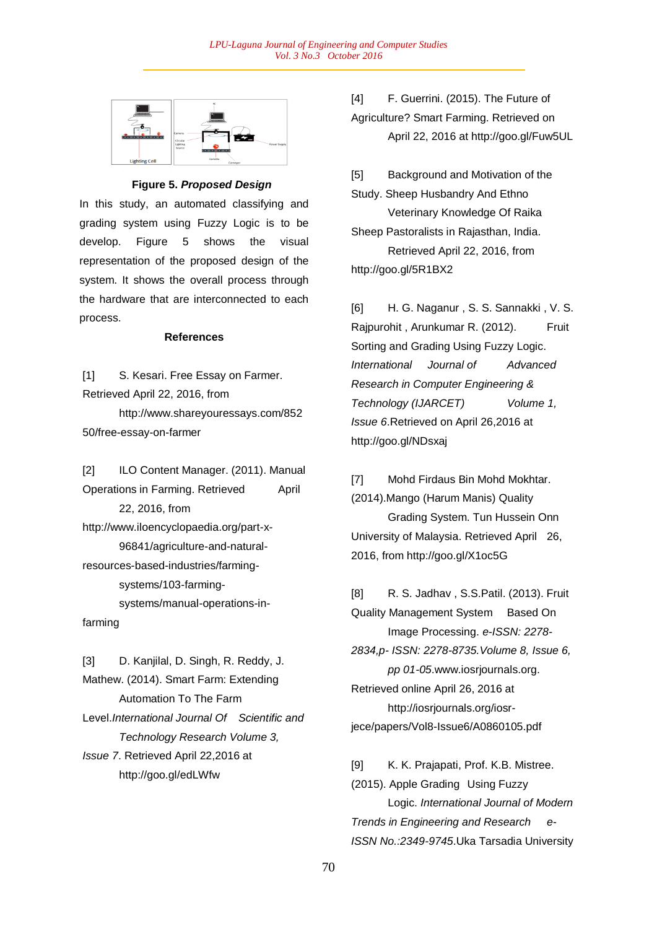

## **Figure 5.** *Proposed Design*

In this study, an automated classifying and grading system using Fuzzy Logic is to be develop. Figure 5 shows the visual representation of the proposed design of the system. It shows the overall process through the hardware that are interconnected to each process.

#### **References**

[1] S. Kesari. Free Essay on Farmer. Retrieved April 22, 2016, from

http://www.shareyouressays.com/852 50/free-essay-on-farmer

[2] **ILO Content Manager.** (2011). Manual Operations in Farming. Retrieved April 22, 2016, from http://www.iloencyclopaedia.org/part-x-96841/agriculture-and-naturalresources-based-industries/farmingsystems/103-farmingsystems/manual-operations-infarming

[3] D. Kanjilal, D. Singh, R. Reddy, J. Mathew. (2014). Smart Farm: Extending Automation To The Farm Level.*International Journal Of Scientific and Technology Research Volume 3, Issue 7*. Retrieved April 22,2016 at http://goo.gl/edLWfw

[4] F. Guerrini. (2015). The Future of Agriculture? Smart Farming. Retrieved on April 22, 2016 at http://goo.gl/Fuw5UL

[5] Background and Motivation of the Study. Sheep Husbandry And Ethno Veterinary Knowledge Of Raika Sheep Pastoralists in Rajasthan, India. Retrieved April 22, 2016, from http://goo.gl/5R1BX2

[6] H. G. Naganur , S. S. Sannakki , V. S. Rajpurohit, Arunkumar R. (2012). Fruit Sorting and Grading Using Fuzzy Logic. *International Journal of Advanced Research in Computer Engineering & Technology (IJARCET) Volume 1, Issue 6*.Retrieved on April 26,2016 at http://goo.gl/NDsxaj

[7] Mohd Firdaus Bin Mohd Mokhtar. (2014).Mango (Harum Manis) Quality Grading System. Tun Hussein Onn University of Malaysia. Retrieved April 26, 2016, from http://goo.gl/X1oc5G

[8] R. S. Jadhav , S.S.Patil. (2013). Fruit Quality Management System Based On Image Processing. *e-ISSN: 2278- 2834,p- ISSN: 2278-8735.Volume 8, Issue 6, pp 01-05*.www.iosrjournals.org. Retrieved online April 26, 2016 at http://iosrjournals.org/iosrjece/papers/Vol8-Issue6/A0860105.pdf

[9] K. K. Prajapati, Prof. K.B. Mistree. (2015). Apple Grading Using Fuzzy Logic. *International Journal of Modern Trends in Engineering and Research e-ISSN No.:2349-9745*.Uka Tarsadia University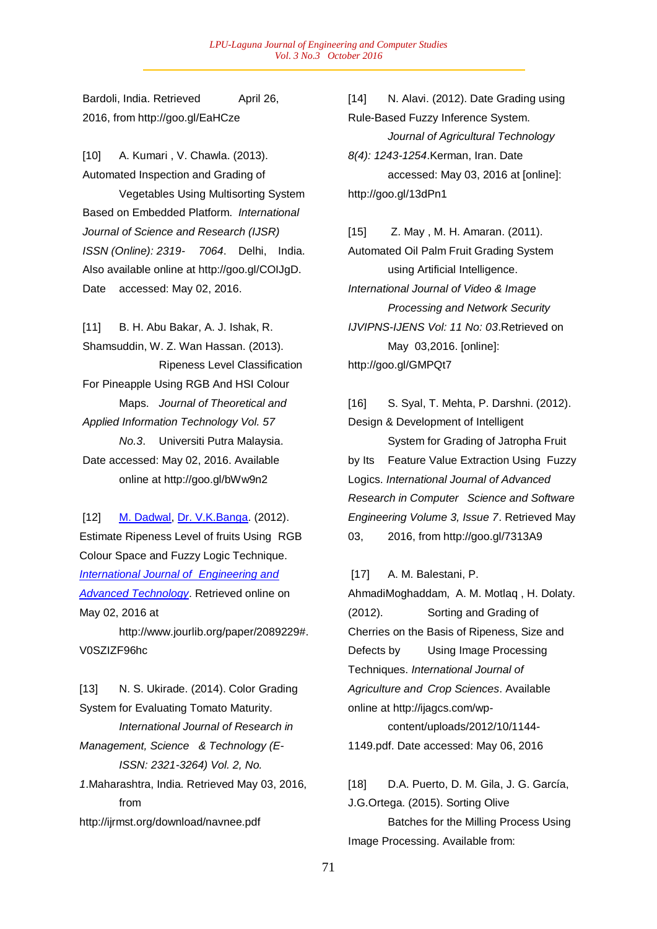Bardoli, India. Retrieved April 26, 2016, from http://goo.gl/EaHCze

[10] A. Kumari , V. Chawla. (2013). Automated Inspection and Grading of Vegetables Using Multisorting System Based on Embedded Platform. *International Journal of Science and Research (IJSR) ISSN (Online): 2319- 7064*. Delhi, India. Also available online at http://goo.gl/COIJgD. Date accessed: May 02, 2016.

[11] B. H. Abu Bakar, A. J. Ishak, R. Shamsuddin, W. Z. Wan Hassan. (2013). Ripeness Level Classification For Pineapple Using RGB And HSI Colour Maps. *Journal of Theoretical and Applied Information Technology Vol. 57 No.3*. Universiti Putra Malaysia. Date accessed: May 02, 2016. Available online at http://goo.gl/bWw9n2

[12] M. Dadwal, Dr. V.K.Banga. (2012). Estimate Ripeness Level of fruits Using RGB Colour Space and Fuzzy Logic Technique. *International Journal of Engineering and Advanced Technology*. Retrieved online on May 02, 2016 at

http://www.jourlib.org/paper/2089229#. V0SZIZF96hc

[13] N. S. Ukirade. (2014). Color Grading System for Evaluating Tomato Maturity. *International Journal of Research in Management, Science & Technology (E-ISSN: 2321-3264) Vol. 2, No. 1*.Maharashtra, India. Retrieved May 03, 2016, from http://ijrmst.org/download/navnee.pdf

[14] N. Alavi. (2012). Date Grading using Rule-Based Fuzzy Inference System. *Journal of Agricultural Technology 8(4): 1243-1254*.Kerman, Iran. Date accessed: May 03, 2016 at [online]: http://goo.gl/13dPn1

[15] Z. May , M. H. Amaran. (2011). Automated Oil Palm Fruit Grading System using Artificial Intelligence. *International Journal of Video & Image Processing and Network Security IJVIPNS-IJENS Vol: 11 No: 03*.Retrieved on May 03,2016. [online]: http://goo.gl/GMPQt7

[16] S. Syal, T. Mehta, P. Darshni. (2012). Design & Development of Intelligent

System for Grading of Jatropha Fruit by Its Feature Value Extraction Using Fuzzy Logics. *International Journal of Advanced Research in Computer Science and Software Engineering Volume 3, Issue 7*. Retrieved May 03, 2016, from http://goo.gl/7313A9

[17] A. M. Balestani, P.

AhmadiMoghaddam, A. M. Motlaq , H. Dolaty. (2012). Sorting and Grading of Cherries on the Basis of Ripeness, Size and Defects by Using Image Processing Techniques. *International Journal of Agriculture and Crop Sciences*. Available online at http://ijagcs.com/wp-

content/uploads/2012/10/1144- 1149.pdf. Date accessed: May 06, 2016

[18] D.A. Puerto, D. M. Gila, J. G. García, J.G.Ortega. (2015). Sorting Olive

Batches for the Milling Process Using Image Processing. Available from: